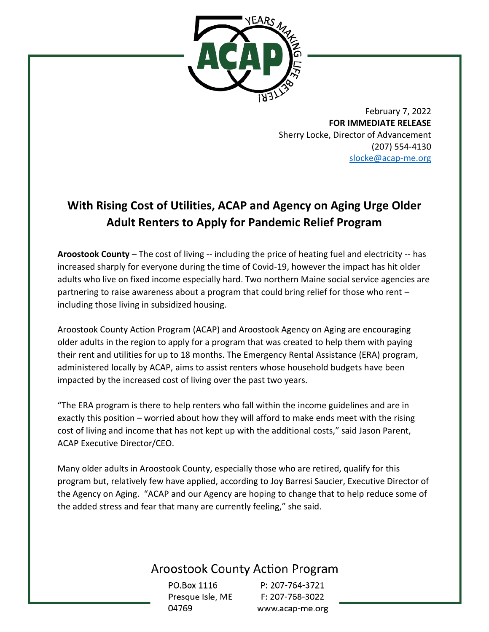

February 7, 2022 **FOR IMMEDIATE RELEASE** Sherry Locke, Director of Advancement (207) 554-4130 [slocke@acap-me.org](mailto:slocke@acap-me.org)

# **With Rising Cost of Utilities, ACAP and Agency on Aging Urge Older Adult Renters to Apply for Pandemic Relief Program**

**Aroostook County** – The cost of living -- including the price of heating fuel and electricity -- has increased sharply for everyone during the time of Covid-19, however the impact has hit older adults who live on fixed income especially hard. Two northern Maine social service agencies are partnering to raise awareness about a program that could bring relief for those who rent – including those living in subsidized housing.

Aroostook County Action Program (ACAP) and Aroostook Agency on Aging are encouraging older adults in the region to apply for a program that was created to help them with paying their rent and utilities for up to 18 months. The Emergency Rental Assistance (ERA) program, administered locally by ACAP, aims to assist renters whose household budgets have been impacted by the increased cost of living over the past two years.

"The ERA program is there to help renters who fall within the income guidelines and are in exactly this position – worried about how they will afford to make ends meet with the rising cost of living and income that has not kept up with the additional costs," said Jason Parent, ACAP Executive Director/CEO.

Many older adults in Aroostook County, especially those who are retired, qualify for this program but, relatively few have applied, according to Joy Barresi Saucier, Executive Director of the Agency on Aging. "ACAP and our Agency are hoping to change that to help reduce some of the added stress and fear that many are currently feeling," she said.

## **Aroostook County Action Program**

PO.Box 1116 Presque Isle, ME 04769

P: 207-764-3721 F: 207-768-3022 www.acap-me.org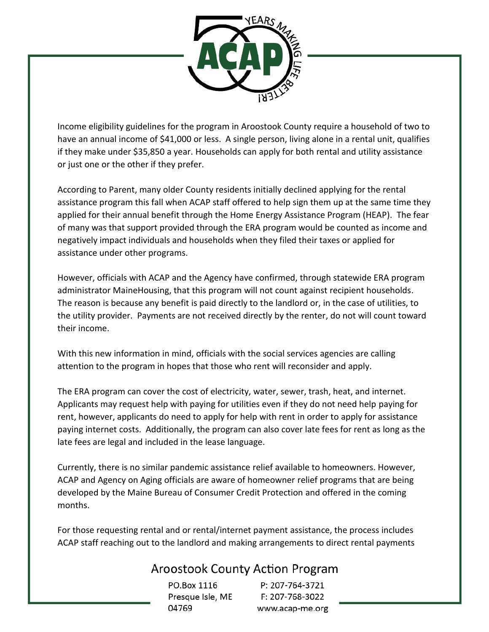

Income eligibility guidelines for the program in Aroostook County require a household of two to have an annual income of \$41,000 or less. A single person, living alone in a rental unit, qualifies if they make under \$35,850 a year. Households can apply for both rental and utility assistance or just one or the other if they prefer.

According to Parent, many older County residents initially declined applying for the rental assistance program this fall when ACAP staff offered to help sign them up at the same time they applied for their annual benefit through the Home Energy Assistance Program (HEAP). The fear of many was that support provided through the ERA program would be counted as income and negatively impact individuals and households when they filed their taxes or applied for assistance under other programs.

However, officials with ACAP and the Agency have confirmed, through statewide ERA program administrator MaineHousing, that this program will not count against recipient households. The reason is because any benefit is paid directly to the landlord or, in the case of utilities, to the utility provider. Payments are not received directly by the renter, do not will count toward their income.

With this new information in mind, officials with the social services agencies are calling attention to the program in hopes that those who rent will reconsider and apply.

The ERA program can cover the cost of electricity, water, sewer, trash, heat, and internet. Applicants may request help with paying for utilities even if they do not need help paying for rent, however, applicants do need to apply for help with rent in order to apply for assistance paying internet costs. Additionally, the program can also cover late fees for rent as long as the late fees are legal and included in the lease language.

Currently, there is no similar pandemic assistance relief available to homeowners. However, ACAP and Agency on Aging officials are aware of homeowner relief programs that are being developed by the Maine Bureau of Consumer Credit Protection and offered in the coming months.

For those requesting rental and or rental/internet payment assistance, the process includes ACAP staff reaching out to the landlord and making arrangements to direct rental payments

## **Aroostook County Action Program**

PO.Box 1116 Presque Isle, ME 04769

P: 207-764-3721 F: 207-768-3022 www.acap-me.org